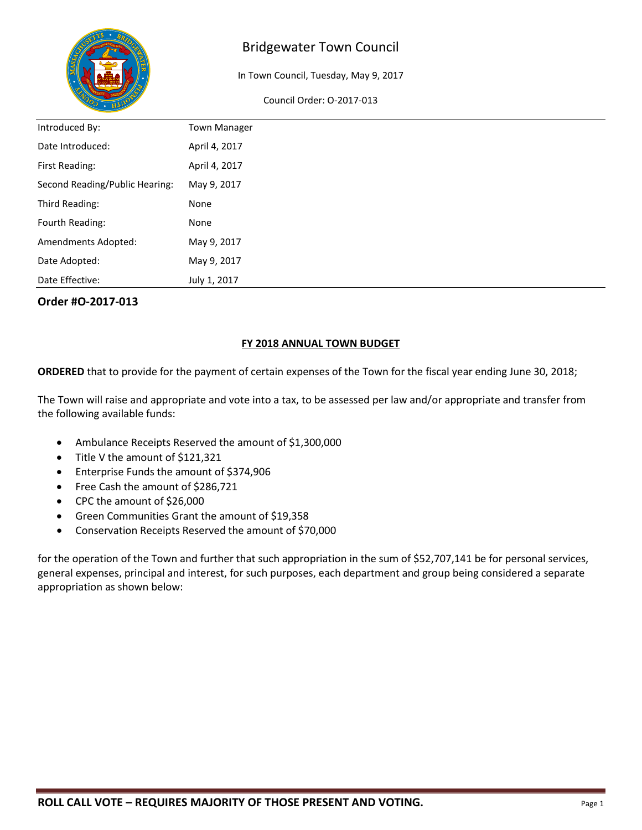

In Town Council, Tuesday, May 9, 2017

### Council Order: O-2017-013

| Introduced By:                 | <b>Town Manager</b> |
|--------------------------------|---------------------|
| Date Introduced:               | April 4, 2017       |
| First Reading:                 | April 4, 2017       |
| Second Reading/Public Hearing: | May 9, 2017         |
| Third Reading:                 | None                |
| Fourth Reading:                | None                |
| Amendments Adopted:            | May 9, 2017         |
| Date Adopted:                  | May 9, 2017         |
| Date Effective:                | July 1, 2017        |

# **Order #O-2017-013**

# **FY 2018 ANNUAL TOWN BUDGET**

**ORDERED** that to provide for the payment of certain expenses of the Town for the fiscal year ending June 30, 2018;

The Town will raise and appropriate and vote into a tax, to be assessed per law and/or appropriate and transfer from the following available funds:

- Ambulance Receipts Reserved the amount of \$1,300,000
- Title V the amount of \$121,321
- Enterprise Funds the amount of \$374,906
- Free Cash the amount of \$286,721
- CPC the amount of \$26,000
- Green Communities Grant the amount of \$19,358
- Conservation Receipts Reserved the amount of \$70,000

for the operation of the Town and further that such appropriation in the sum of \$52,707,141 be for personal services, general expenses, principal and interest, for such purposes, each department and group being considered a separate appropriation as shown below: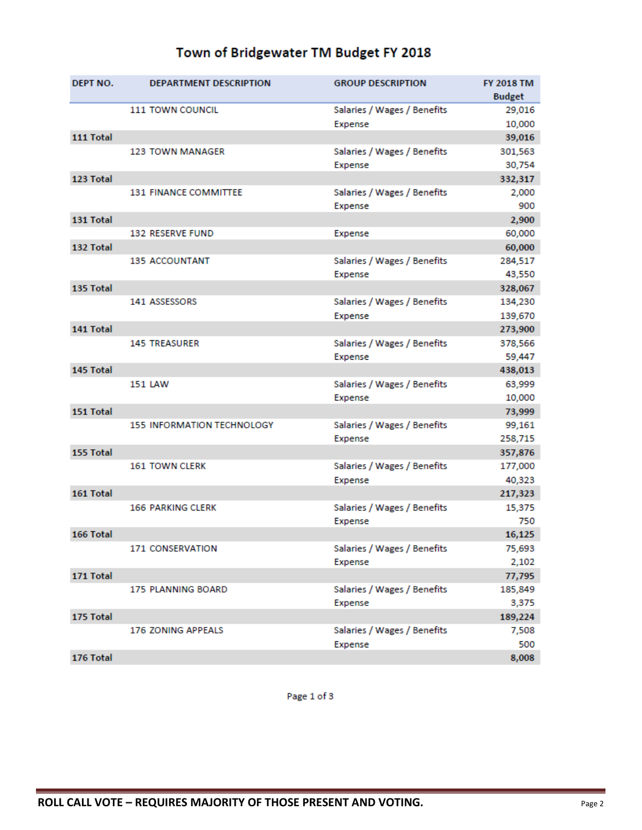# Town of Bridgewater TM Budget FY 2018

| DEPT NO.  | <b>DEPARTMENT DESCRIPTION</b>     | <b>GROUP DESCRIPTION</b>    | <b>FY 2018 TM</b><br><b>Budget</b> |
|-----------|-----------------------------------|-----------------------------|------------------------------------|
|           | <b>111 TOWN COUNCIL</b>           | Salaries / Wages / Benefits | 29,016                             |
|           |                                   | Expense                     | 10,000                             |
| 111 Total |                                   |                             | 39,016                             |
|           | <b>123 TOWN MANAGER</b>           | Salaries / Wages / Benefits | 301,563                            |
|           |                                   | Expense                     | 30,754                             |
| 123 Total |                                   |                             | 332,317                            |
|           | <b>131 FINANCE COMMITTEE</b>      | Salaries / Wages / Benefits | 2,000                              |
|           |                                   | Expense                     | 900                                |
| 131 Total |                                   |                             | 2,900                              |
|           | 132 RESERVE FUND                  | Expense                     | 60,000                             |
| 132 Total |                                   |                             | 60,000                             |
|           | <b>135 ACCOUNTANT</b>             | Salaries / Wages / Benefits | 284,517                            |
|           |                                   | Expense                     | 43,550                             |
| 135 Total |                                   |                             | 328,067                            |
|           | 141 ASSESSORS                     | Salaries / Wages / Benefits | 134,230                            |
|           |                                   | Expense                     | 139,670                            |
| 141 Total |                                   |                             | 273,900                            |
|           | <b>145 TREASURER</b>              | Salaries / Wages / Benefits | 378,566                            |
|           |                                   | Expense                     | 59,447                             |
| 145 Total |                                   |                             | 438,013                            |
|           | 151 LAW                           | Salaries / Wages / Benefits | 63,999                             |
|           |                                   | Expense                     | 10,000                             |
| 151 Total |                                   |                             | 73,999                             |
|           | <b>155 INFORMATION TECHNOLOGY</b> | Salaries / Wages / Benefits | 99,161                             |
|           |                                   | Expense                     | 258,715                            |
| 155 Total |                                   |                             | 357,876                            |
|           | <b>161 TOWN CLERK</b>             | Salaries / Wages / Benefits | 177,000                            |
|           |                                   | Expense                     | 40,323                             |
| 161 Total |                                   |                             | 217,323                            |
|           | <b>166 PARKING CLERK</b>          | Salaries / Wages / Benefits | 15,375                             |
|           |                                   | Expense                     | 750                                |
| 166 Total |                                   |                             | 16,125                             |
|           | 171 CONSERVATION                  | Salaries / Wages / Benefits | 75,693                             |
|           |                                   | Expense                     | 2,102                              |
| 171 Total |                                   |                             | 77,795                             |
|           | <b>175 PLANNING BOARD</b>         | Salaries / Wages / Benefits | 185,849                            |
|           |                                   | Expense                     | 3,375                              |
| 175 Total |                                   |                             | 189,224                            |
|           | 176 ZONING APPEALS                | Salaries / Wages / Benefits | 7,508                              |
|           |                                   | Expense                     | 500                                |
| 176 Total |                                   |                             | 8,008                              |

Page 1 of 3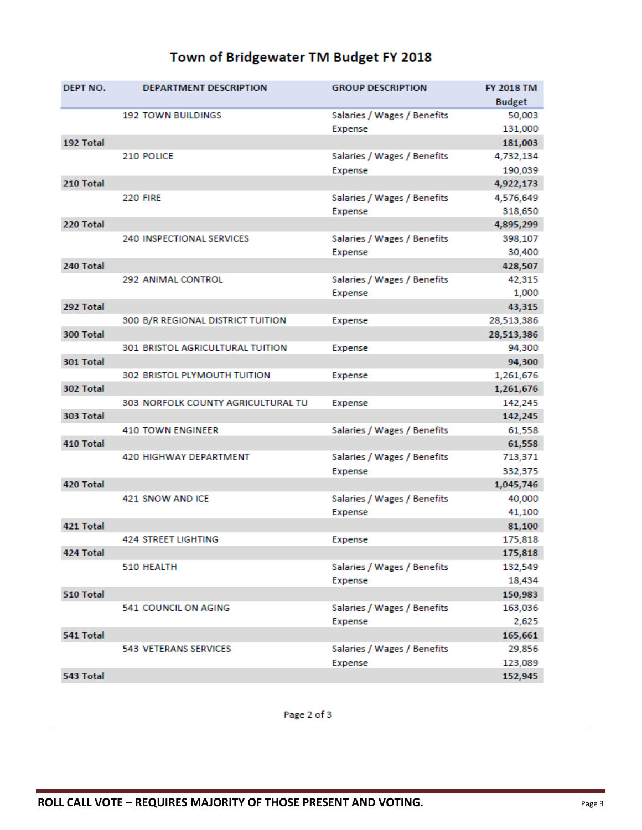# Town of Bridgewater TM Budget FY 2018

| DEPT NO.  | <b>DEPARTMENT DESCRIPTION</b>           | <b>GROUP DESCRIPTION</b>    | <b>FY 2018 TM</b>  |
|-----------|-----------------------------------------|-----------------------------|--------------------|
|           |                                         |                             | <b>Budget</b>      |
|           | <b>192 TOWN BUILDINGS</b>               | Salaries / Wages / Benefits | 50,003             |
|           |                                         | Expense                     | 131,000            |
| 192 Total |                                         |                             | 181,003            |
|           | 210 POLICE                              | Salaries / Wages / Benefits | 4,732,134          |
|           |                                         | Expense                     | 190,039            |
| 210 Total |                                         |                             | 4,922,173          |
|           | <b>220 FIRE</b>                         | Salaries / Wages / Benefits | 4,576,649          |
|           |                                         | Expense                     | 318,650            |
| 220 Total |                                         |                             | 4,895,299          |
|           | <b>240 INSPECTIONAL SERVICES</b>        | Salaries / Wages / Benefits | 398,107            |
|           |                                         | Expense                     | 30,400             |
| 240 Total |                                         |                             | 428,507            |
|           | 292 ANIMAL CONTROL                      | Salaries / Wages / Benefits | 42,315             |
|           |                                         | Expense                     | 1,000              |
| 292 Total |                                         |                             | 43,315             |
|           | 300 B/R REGIONAL DISTRICT TUITION       | Expense                     | 28,513,386         |
| 300 Total |                                         |                             | 28,513,386         |
|           | <b>301 BRISTOL AGRICULTURAL TUITION</b> | Expense                     | 94,300             |
| 301 Total |                                         |                             | 94,300             |
|           | <b>302 BRISTOL PLYMOUTH TUITION</b>     | Expense                     | 1,261,676          |
| 302 Total |                                         |                             | 1,261,676          |
|           | 303 NORFOLK COUNTY AGRICULTURAL TU      | Expense                     | 142,245            |
| 303 Total |                                         |                             | 142,245            |
|           | <b>410 TOWN ENGINEER</b>                | Salaries / Wages / Benefits | 61,558             |
| 410 Total |                                         |                             | 61,558             |
|           | 420 HIGHWAY DEPARTMENT                  | Salaries / Wages / Benefits | 713,371            |
|           |                                         | Expense                     | 332,375            |
| 420 Total |                                         |                             | 1,045,746          |
|           | 421 SNOW AND ICE                        | Salaries / Wages / Benefits | 40,000             |
|           |                                         | Expense                     | 41,100             |
| 421 Total |                                         |                             | 81,100             |
|           | <b>424 STREET LIGHTING</b>              | Expense                     | 175,818            |
| 424 Total |                                         |                             | 175,818            |
|           | 510 HEALTH                              | Salaries / Wages / Benefits | 132,549            |
| 510 Total |                                         | Expense                     | 18,434             |
|           | <b>541 COUNCIL ON AGING</b>             |                             | 150,983            |
|           |                                         | Salaries / Wages / Benefits | 163,036            |
|           |                                         | Expense                     | 2,625              |
| 541 Total | 543 VETERANS SERVICES                   |                             | 165,661            |
|           |                                         | Salaries / Wages / Benefits | 29,856             |
| 543 Total |                                         | Expense                     | 123,089<br>152,945 |
|           |                                         |                             |                    |

Page 2 of 3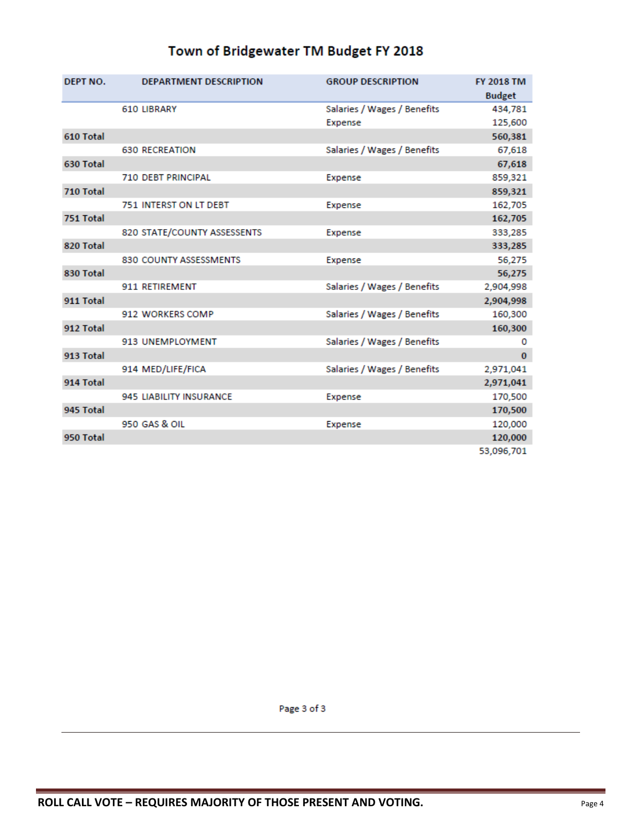| DEPT NO.  | <b>DEPARTMENT DESCRIPTION</b> | <b>GROUP DESCRIPTION</b>    | <b>FY 2018 TM</b> |
|-----------|-------------------------------|-----------------------------|-------------------|
|           |                               |                             | <b>Budget</b>     |
|           | 610 LIBRARY                   | Salaries / Wages / Benefits | 434,781           |
|           |                               | Expense                     | 125,600           |
| 610 Total |                               |                             | 560,381           |
|           | <b>630 RECREATION</b>         | Salaries / Wages / Benefits | 67,618            |
| 630 Total |                               |                             | 67,618            |
|           | <b>710 DEBT PRINCIPAL</b>     | Expense                     | 859,321           |
| 710 Total |                               |                             | 859,321           |
|           | 751 INTERST ON LT DEBT        | Expense                     | 162,705           |
| 751 Total |                               |                             | 162,705           |
|           | 820 STATE/COUNTY ASSESSENTS   | Expense                     | 333,285           |
| 820 Total |                               |                             | 333,285           |
|           | 830 COUNTY ASSESSMENTS        | Expense                     | 56,275            |
| 830 Total |                               |                             | 56,275            |
|           | 911 RETIREMENT                | Salaries / Wages / Benefits | 2,904,998         |
| 911 Total |                               |                             | 2,904,998         |
|           | 912 WORKERS COMP              | Salaries / Wages / Benefits | 160,300           |
| 912 Total |                               |                             | 160,300           |
|           | 913 UNEMPLOYMENT              | Salaries / Wages / Benefits | 0                 |
| 913 Total |                               |                             | $\bf{0}$          |
|           | 914 MED/LIFE/FICA             | Salaries / Wages / Benefits | 2,971,041         |
| 914 Total |                               |                             | 2,971,041         |
|           | 945 LIABILITY INSURANCE       | Expense                     | 170,500           |
| 945 Total |                               |                             | 170,500           |
|           | 950 GAS & OIL                 | Expense                     | 120,000           |
| 950 Total |                               |                             | 120,000           |
|           |                               |                             | 53,096,701        |

Page 3 of 3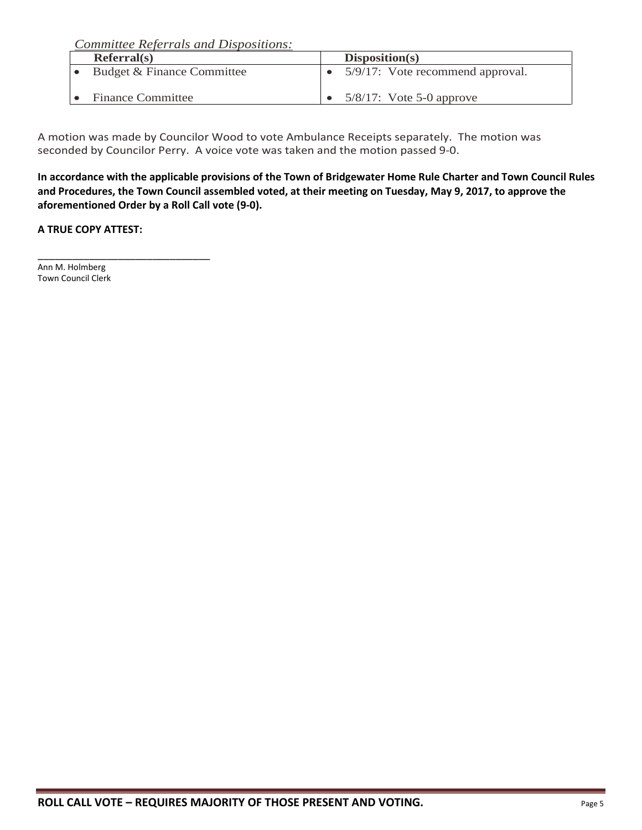*Committee Referrals and Dispositions:*

| Referral(s)                | Disposition(s)                   |
|----------------------------|----------------------------------|
| Budget & Finance Committee | 5/9/17: Vote recommend approval. |
| <b>Finance Committee</b>   | $5/8/17$ : Vote 5-0 approve      |

A motion was made by Councilor Wood to vote Ambulance Receipts separately. The motion was seconded by Councilor Perry. A voice vote was taken and the motion passed 9-0.

**In accordance with the applicable provisions of the Town of Bridgewater Home Rule Charter and Town Council Rules and Procedures, the Town Council assembled voted, at their meeting on Tuesday, May 9, 2017, to approve the aforementioned Order by a Roll Call vote (9-0).** 

**A TRUE COPY ATTEST:**

\_\_\_\_\_\_\_\_\_\_\_\_\_\_\_\_\_\_\_\_\_\_\_\_\_\_\_\_\_\_

Ann M. Holmberg Town Council Clerk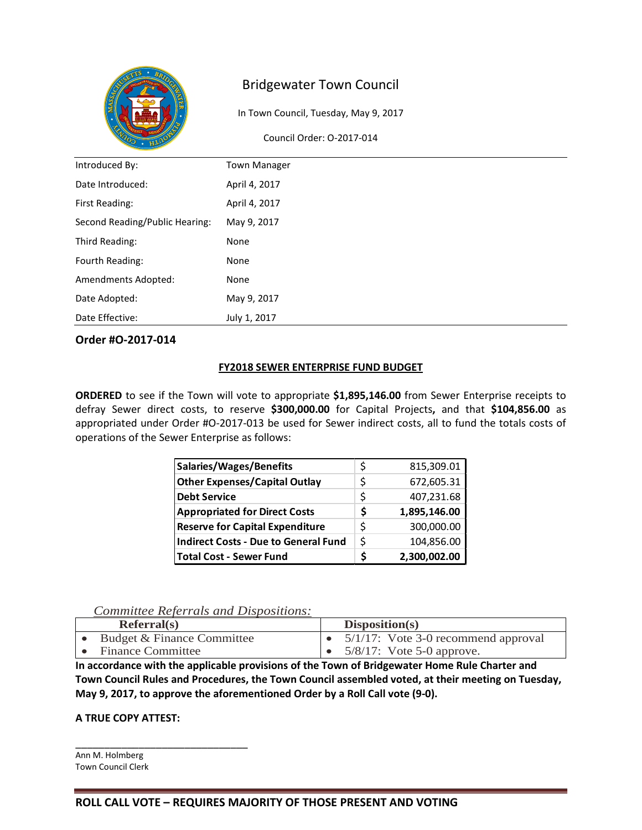

In Town Council, Tuesday, May 9, 2017

Council Order: O-2017-014

| Introduced By:                 | <b>Town Manager</b> |
|--------------------------------|---------------------|
| Date Introduced:               | April 4, 2017       |
| First Reading:                 | April 4, 2017       |
| Second Reading/Public Hearing: | May 9, 2017         |
| Third Reading:                 | None                |
| Fourth Reading:                | None                |
| Amendments Adopted:            | None                |
| Date Adopted:                  | May 9, 2017         |
| Date Effective:                | July 1, 2017        |

# **Order #O-2017-014**

#### **FY2018 SEWER ENTERPRISE FUND BUDGET**

**ORDERED** to see if the Town will vote to appropriate **\$1,895,146.00** from Sewer Enterprise receipts to defray Sewer direct costs, to reserve **\$300,000.00** for Capital Projects**,** and that **\$104,856.00** as appropriated under Order #O-2017-013 be used for Sewer indirect costs, all to fund the totals costs of operations of the Sewer Enterprise as follows:

| <b>Salaries/Wages/Benefits</b>              | S  | 815,309.01   |
|---------------------------------------------|----|--------------|
| <b>Other Expenses/Capital Outlay</b>        | Ś  | 672,605.31   |
| <b>Debt Service</b>                         | \$ | 407,231.68   |
| <b>Appropriated for Direct Costs</b>        | S  | 1,895,146.00 |
| <b>Reserve for Capital Expenditure</b>      | \$ | 300,000.00   |
| <b>Indirect Costs - Due to General Fund</b> | \$ | 104,856.00   |
| <b>Total Cost - Sewer Fund</b>              |    | 2,300,002.00 |

### *Committee Referrals and Dispositions:*

| Referral(s)                | Disposition(s)                                |
|----------------------------|-----------------------------------------------|
| Budget & Finance Committee | $\bullet$ 5/1/17: Vote 3-0 recommend approval |
| <b>Finance Committee</b>   | • $5/8/17$ : Vote 5-0 approve.                |
|                            |                                               |

**In accordance with the applicable provisions of the Town of Bridgewater Home Rule Charter and Town Council Rules and Procedures, the Town Council assembled voted, at their meeting on Tuesday, May 9, 2017, to approve the aforementioned Order by a Roll Call vote (9-0).** 

#### **A TRUE COPY ATTEST:**

\_\_\_\_\_\_\_\_\_\_\_\_\_\_\_\_\_\_\_\_\_\_\_\_\_\_\_\_\_\_

Ann M. Holmberg Town Council Clerk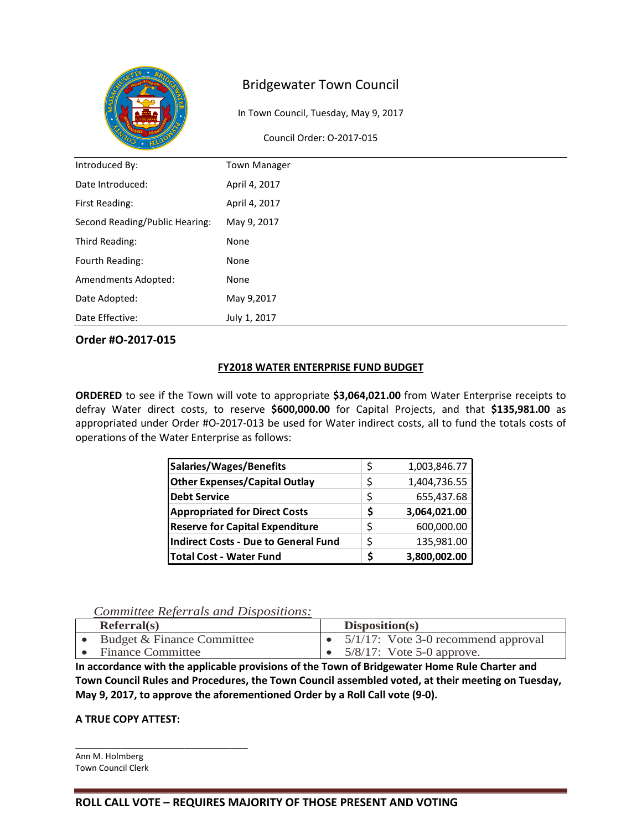

In Town Council, Tuesday, May 9, 2017

Council Order: O-2017-015

| Introduced By:                 | <b>Town Manager</b> |
|--------------------------------|---------------------|
| Date Introduced:               | April 4, 2017       |
| First Reading:                 | April 4, 2017       |
| Second Reading/Public Hearing: | May 9, 2017         |
| Third Reading:                 | None                |
| Fourth Reading:                | None                |
| Amendments Adopted:            | None                |
| Date Adopted:                  | May 9,2017          |
| Date Effective:                | July 1, 2017        |

# **Order #O-2017-015**

### **FY2018 WATER ENTERPRISE FUND BUDGET**

**ORDERED** to see if the Town will vote to appropriate **\$3,064,021.00** from Water Enterprise receipts to defray Water direct costs, to reserve **\$600,000.00** for Capital Projects, and that **\$135,981.00** as appropriated under Order #O-2017-013 be used for Water indirect costs, all to fund the totals costs of operations of the Water Enterprise as follows:

| <b>Salaries/Wages/Benefits</b>              | S | 1,003,846.77 |
|---------------------------------------------|---|--------------|
| <b>Other Expenses/Capital Outlay</b>        |   | 1,404,736.55 |
| <b>Debt Service</b>                         | ς | 655,437.68   |
| <b>Appropriated for Direct Costs</b>        |   | 3,064,021.00 |
| <b>Reserve for Capital Expenditure</b>      |   | 600,000.00   |
| <b>Indirect Costs - Due to General Fund</b> | ς | 135,981.00   |
| <b>Total Cost - Water Fund</b>              |   | 3,800,002.00 |

*Committee Referrals and Dispositions:* 

| Referral(s)                           | Disposition(s)                                |
|---------------------------------------|-----------------------------------------------|
| • Budget $& \text{Finance Committee}$ | $\bullet$ 5/1/17: Vote 3-0 recommend approval |
| • Finance Committee                   | • $5/8/17$ : Vote 5-0 approve.                |
| .                                     |                                               |

**In accordance with the applicable provisions of the Town of Bridgewater Home Rule Charter and Town Council Rules and Procedures, the Town Council assembled voted, at their meeting on Tuesday, May 9, 2017, to approve the aforementioned Order by a Roll Call vote (9-0).** 

#### **A TRUE COPY ATTEST:**

\_\_\_\_\_\_\_\_\_\_\_\_\_\_\_\_\_\_\_\_\_\_\_\_\_\_\_\_\_\_

Ann M. Holmberg Town Council Clerk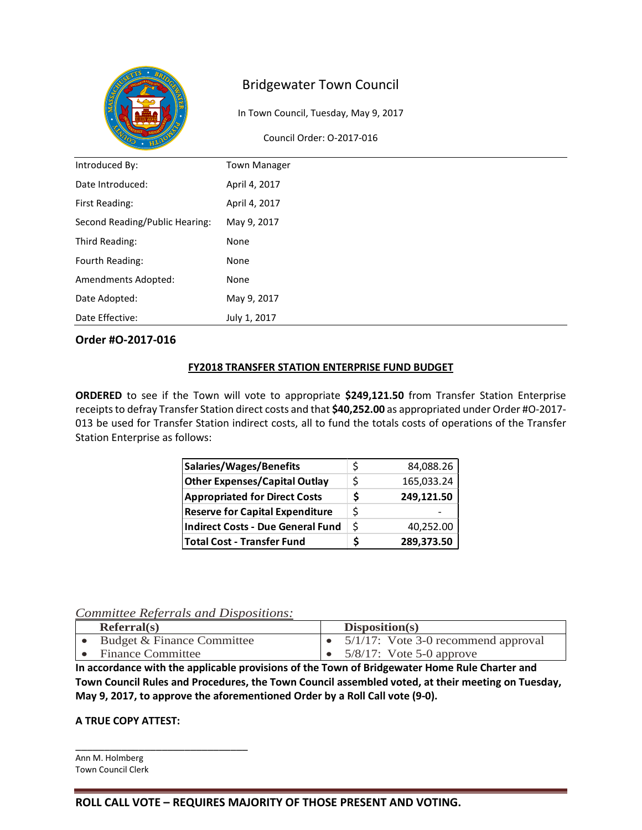

In Town Council, Tuesday, May 9, 2017

Council Order: O-2017-016

| Introduced By:                 | <b>Town Manager</b> |
|--------------------------------|---------------------|
| Date Introduced:               | April 4, 2017       |
| First Reading:                 | April 4, 2017       |
| Second Reading/Public Hearing: | May 9, 2017         |
| Third Reading:                 | None                |
| Fourth Reading:                | None                |
| Amendments Adopted:            | None                |
| Date Adopted:                  | May 9, 2017         |
| Date Effective:                | July 1, 2017        |

# **Order #O-2017-016**

#### **FY2018 TRANSFER STATION ENTERPRISE FUND BUDGET**

**ORDERED** to see if the Town will vote to appropriate **\$249,121.50** from Transfer Station Enterprise receipts to defray Transfer Station direct costs and that **\$40,252.00** as appropriated under Order #O-2017- 013 be used for Transfer Station indirect costs, all to fund the totals costs of operations of the Transfer Station Enterprise as follows:

| <b>Salaries/Wages/Benefits</b>           |    | 84,088.26  |
|------------------------------------------|----|------------|
| <b>Other Expenses/Capital Outlay</b>     | S. | 165,033.24 |
| <b>Appropriated for Direct Costs</b>     | S  | 249,121.50 |
| <b>Reserve for Capital Expenditure</b>   | Ś  |            |
| <b>Indirect Costs - Due General Fund</b> | Ś  | 40,252.00  |
| <b>Total Cost - Transfer Fund</b>        |    | 289,373.50 |

### *Committee Referrals and Dispositions:*

| Referral(s)                | Disposition(s)                         |
|----------------------------|----------------------------------------|
| Budget & Finance Committee | $5/1/17$ : Vote 3-0 recommend approval |
| • Finance Committee        | • $5/8/17$ : Vote 5-0 approve          |
| .                          |                                        |

**In accordance with the applicable provisions of the Town of Bridgewater Home Rule Charter and Town Council Rules and Procedures, the Town Council assembled voted, at their meeting on Tuesday, May 9, 2017, to approve the aforementioned Order by a Roll Call vote (9-0).** 

#### **A TRUE COPY ATTEST:**

\_\_\_\_\_\_\_\_\_\_\_\_\_\_\_\_\_\_\_\_\_\_\_\_\_\_\_\_\_\_

Ann M. Holmberg Town Council Clerk

**ROLL CALL VOTE – REQUIRES MAJORITY OF THOSE PRESENT AND VOTING.**